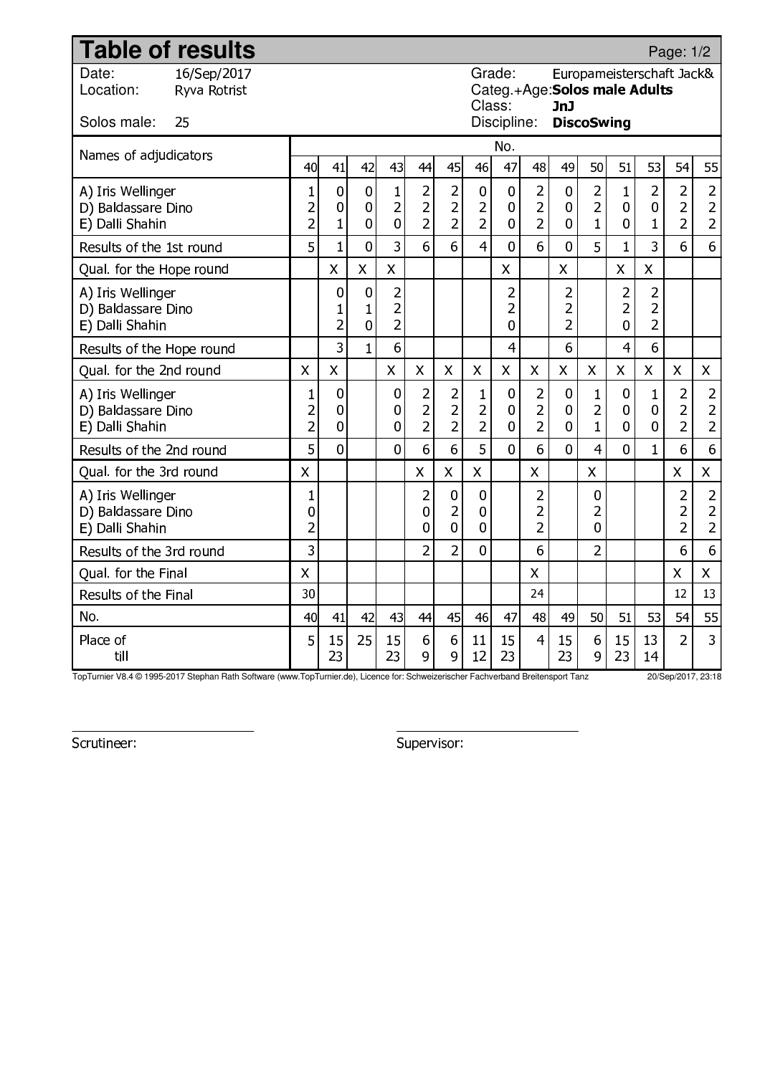| <b>Table of results</b>                                    |                             |                                                  |                                               |                                  |                                                    |                                                    |                                                    |                                                  |                                                                                              |                                                    |                          |                                                  |                                       |                          | Page: 1/2                                          |                                                |  |  |
|------------------------------------------------------------|-----------------------------|--------------------------------------------------|-----------------------------------------------|----------------------------------|----------------------------------------------------|----------------------------------------------------|----------------------------------------------------|--------------------------------------------------|----------------------------------------------------------------------------------------------|----------------------------------------------------|--------------------------|--------------------------------------------------|---------------------------------------|--------------------------|----------------------------------------------------|------------------------------------------------|--|--|
| Date:<br>Location:                                         | 16/Sep/2017<br>Ryva Rotrist |                                                  |                                               |                                  |                                                    |                                                    |                                                    |                                                  | Grade:<br>Europameisterschaft Jack&<br>Categ.+Age: Solos male Adults<br>Class:<br><b>JnJ</b> |                                                    |                          |                                                  |                                       |                          |                                                    |                                                |  |  |
| Solos male:                                                | 25                          | Discipline:<br><b>DiscoSwing</b>                 |                                               |                                  |                                                    |                                                    |                                                    |                                                  |                                                                                              |                                                    |                          |                                                  |                                       |                          |                                                    |                                                |  |  |
| Names of adjudicators                                      |                             |                                                  |                                               |                                  |                                                    |                                                    |                                                    |                                                  | No.                                                                                          |                                                    |                          |                                                  |                                       |                          |                                                    |                                                |  |  |
|                                                            |                             | 40l                                              | 41                                            | 42                               | 43                                                 | 44                                                 | 45                                                 | 46                                               | 47                                                                                           | 48                                                 | 49                       | 50                                               | 51                                    | 53                       | 54                                                 | 55                                             |  |  |
| A) Iris Wellinger<br>D) Baldassare Dino<br>E) Dalli Shahin |                             | $\mathbf{1}$<br>$\overline{c}$<br>$\overline{2}$ | $\pmb{0}$<br>0<br>$\overline{1}$              | 0<br>0<br>0                      | $\mathbf{1}$<br>$\overline{2}$<br>$\mathbf 0$      | $\overline{2}$<br>2<br>$\overline{2}$              | $\overline{2}$<br>$\overline{2}$<br>$\overline{2}$ | $\pmb{0}$<br>$\overline{2}$<br>$\overline{2}$    | 0<br>0<br>0                                                                                  | $\overline{2}$<br>$\overline{2}$<br>$\overline{2}$ | $\bf{0}$<br>0<br>0       | $\overline{2}$<br>$\overline{2}$<br>$\mathbf{1}$ | $\mathbf{1}$<br>0<br>0                | 2<br>0<br>$\mathbf{1}$   | $\overline{a}$<br>$\overline{2}$<br>$\overline{2}$ | 2<br>$\overline{2}$<br>$\overline{2}$          |  |  |
| Results of the 1st round                                   |                             | 5                                                | $\overline{1}$                                | $\overline{0}$                   | $\overline{3}$                                     | 6                                                  | 6                                                  | $\overline{4}$                                   | $\overline{0}$                                                                               | 6                                                  | $\overline{0}$           | 5                                                | $\mathbf{1}$                          | 3                        | 6                                                  | 6                                              |  |  |
| Qual. for the Hope round                                   |                             |                                                  | $\mathsf{X}$                                  | $\overline{\mathsf{X}}$          | $\mathsf{X}$                                       |                                                    |                                                    |                                                  | X                                                                                            |                                                    | $\overline{\mathsf{X}}$  |                                                  | $\overline{\mathsf{X}}$               | X                        |                                                    |                                                |  |  |
| A) Iris Wellinger<br>D) Baldassare Dino<br>E) Dalli Shahin |                             |                                                  | $\mathbf 0$<br>$\mathbf{1}$<br>$\overline{2}$ | $\mathbf 0$<br>$\mathbf{1}$<br>0 | $\overline{2}$<br>$\overline{c}$<br>$\overline{2}$ |                                                    |                                                    |                                                  | $\overline{c}$<br>2<br>0                                                                     |                                                    | 2<br>2<br>$\overline{2}$ |                                                  | $\overline{2}$<br>$\overline{2}$<br>0 | 2<br>2<br>$\overline{2}$ |                                                    |                                                |  |  |
| Results of the Hope round                                  |                             |                                                  | 3                                             | $\overline{1}$                   | 6                                                  |                                                    |                                                    |                                                  | $\overline{4}$                                                                               |                                                    | 6                        |                                                  | 4                                     | 6                        |                                                    |                                                |  |  |
| Qual. for the 2nd round                                    |                             | $\mathsf{X}$                                     | $\mathsf{X}$                                  |                                  | $\mathsf{X}$                                       | $\mathsf{X}$                                       | $\boldsymbol{\mathsf{X}}$                          | X                                                | $\overline{X}$                                                                               | X                                                  | X                        | X                                                | $\overline{\mathsf{X}}$               | X                        | X                                                  | $\mathsf{X}$                                   |  |  |
| A) Iris Wellinger<br>D) Baldassare Dino<br>E) Dalli Shahin |                             | $\mathbf{1}$<br>$\overline{c}$<br>$\overline{a}$ | $\bf{0}$<br>0<br>0                            |                                  | 0<br>0<br>$\bf{0}$                                 | $\overline{a}$<br>$\overline{c}$<br>$\overline{2}$ | $\overline{a}$<br>$\overline{2}$<br>$\overline{2}$ | $\mathbf{1}$<br>$\overline{c}$<br>$\overline{2}$ | 0<br>0<br>$\mathbf 0$                                                                        | $\overline{c}$<br>$\overline{c}$<br>$\overline{2}$ | 0<br>0<br>$\mathbf 0$    | $\mathbf{1}$<br>$\overline{2}$<br>$\mathbf{1}$   | 0<br>0<br>0                           | 1<br>0<br>0              | 2<br>$\overline{2}$<br>$\overline{2}$              | 2<br>$\overline{\mathbf{c}}$<br>$\overline{2}$ |  |  |
| Results of the 2nd round                                   |                             | 5                                                | $\overline{0}$                                |                                  | $\overline{0}$                                     | 6                                                  | 6                                                  | 5                                                | $\overline{0}$                                                                               | 6                                                  | $\overline{0}$           | 4                                                | 0                                     | $\mathbf{1}$             | 6                                                  | 6                                              |  |  |
| Qual. for the 3rd round                                    |                             | $\mathsf{X}$                                     |                                               |                                  |                                                    | $\mathsf{X}$                                       | $\overline{X}$                                     | $\mathsf{X}$                                     |                                                                                              | $\mathsf{X}$                                       |                          | $\overline{X}$                                   |                                       |                          | $\overline{X}$                                     | $\mathsf{X}$                                   |  |  |
| A) Iris Wellinger<br>D) Baldassare Dino<br>E) Dalli Shahin |                             | 1<br>0<br>$\overline{a}$                         |                                               |                                  |                                                    | $\overline{2}$<br>0<br>0                           | $\bf{0}$<br>$\overline{c}$<br>$\mathbf 0$          | 0<br>0<br>$\overline{0}$                         |                                                                                              | 2<br>$\overline{2}$<br>$\overline{2}$              |                          | 0<br>$\overline{2}$<br>0                         |                                       |                          | $\overline{c}$<br>$\overline{2}$<br>$\overline{2}$ | 2<br>$\overline{2}$<br>$\overline{2}$          |  |  |
| Results of the 3rd round                                   |                             | 3                                                |                                               |                                  |                                                    | $\overline{2}$                                     | $\overline{2}$                                     | $\overline{0}$                                   |                                                                                              | 6                                                  |                          | $\overline{2}$                                   |                                       |                          | 6                                                  | 6                                              |  |  |
| Qual. for the Final                                        |                             | $\mathsf{X}$                                     |                                               |                                  |                                                    |                                                    |                                                    |                                                  |                                                                                              | X                                                  |                          |                                                  |                                       |                          | X                                                  | $\mathsf{X}$                                   |  |  |
| Results of the Final                                       |                             | 30                                               |                                               |                                  |                                                    |                                                    |                                                    |                                                  |                                                                                              | 24                                                 |                          |                                                  |                                       |                          | 12                                                 | 13                                             |  |  |
| No.                                                        |                             | 40                                               | 41                                            | 42                               | 43                                                 | 44                                                 | 45                                                 | 46                                               | 47                                                                                           | 48                                                 | 49                       | 50                                               | 51                                    | 53                       | 54                                                 | 55                                             |  |  |
| Place of<br>till                                           |                             | 5                                                | 15<br>23                                      | 25                               | 15<br>23                                           | 6<br>9                                             | 6<br>9                                             | 11<br>12                                         | 15<br>23                                                                                     | $\overline{4}$                                     | 15<br>23                 | 6<br>9                                           | 15<br>23                              | 13<br>14                 | $\overline{2}$                                     | 3                                              |  |  |

TopTurnier V8.4 © 1995-2017 Stephan Rath Software (www.TopTurnier.de), Licence for: Schweizerischer Fachverband Breitensport Tanz 20/Sep/2017, 23:18

Scrutineer: Supervisor: